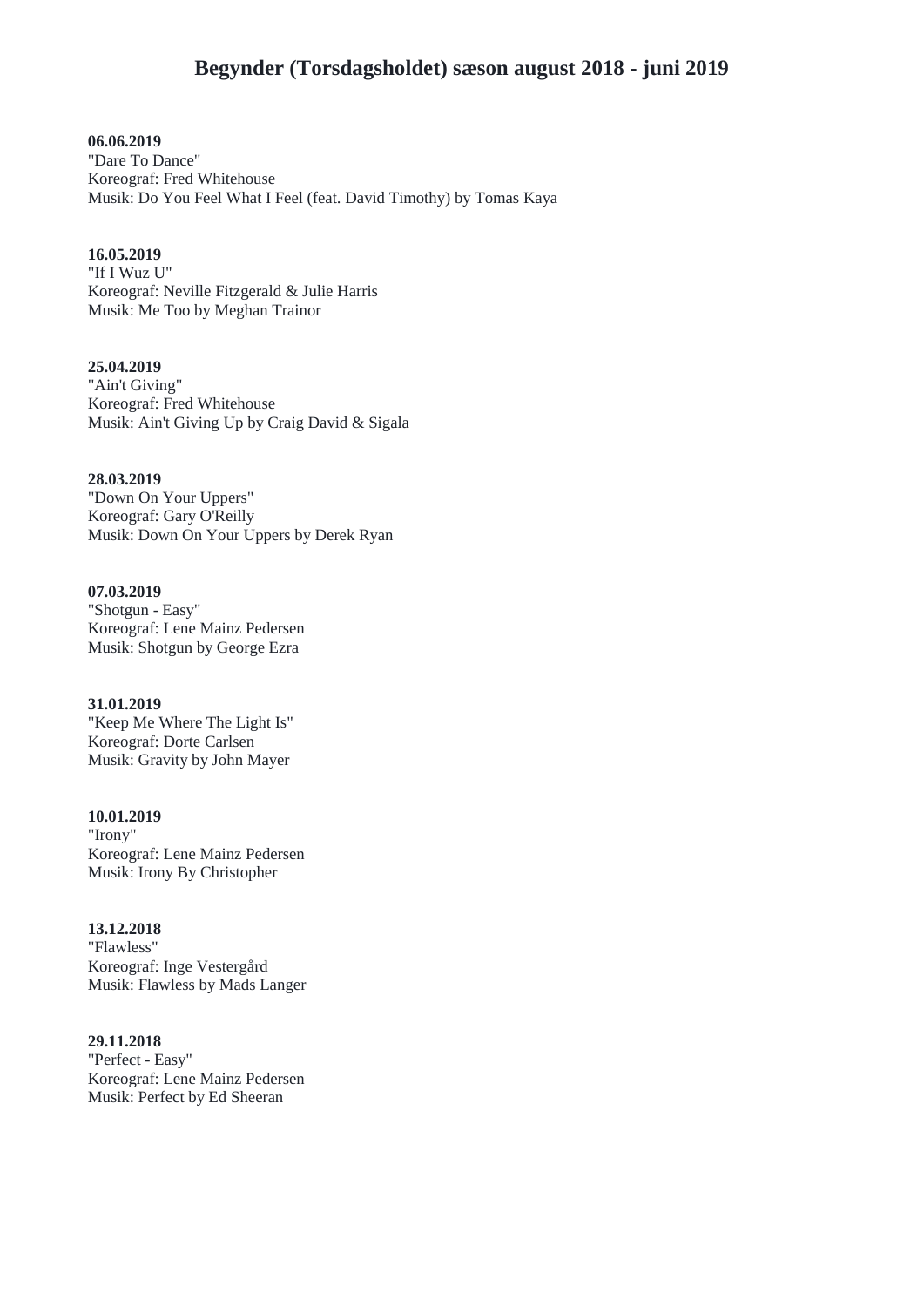**06.06.2019** "Dare To Dance" Koreograf: Fred Whitehouse Musik: Do You Feel What I Feel (feat. David Timothy) by Tomas Kaya

## **16.05.2019**

"If I Wuz U" Koreograf: Neville Fitzgerald & Julie Harris Musik: Me Too by Meghan Trainor

**25.04.2019** "Ain't Giving" Koreograf: Fred Whitehouse Musik: Ain't Giving Up by Craig David & Sigala

**28.03.2019** "Down On Your Uppers" Koreograf: Gary O'Reilly Musik: Down On Your Uppers by Derek Ryan

**07.03.2019** "Shotgun - Easy" Koreograf: Lene Mainz Pedersen Musik: Shotgun by George Ezra

**31.01.2019** "Keep Me Where The Light Is" Koreograf: Dorte Carlsen Musik: Gravity by John Mayer

**10.01.2019** "Irony" Koreograf: Lene Mainz Pedersen Musik: Irony By Christopher

**13.12.2018** "Flawless" Koreograf: Inge Vestergård Musik: Flawless by Mads Langer

**29.11.2018** "Perfect - Easy" Koreograf: Lene Mainz Pedersen Musik: Perfect by Ed Sheeran